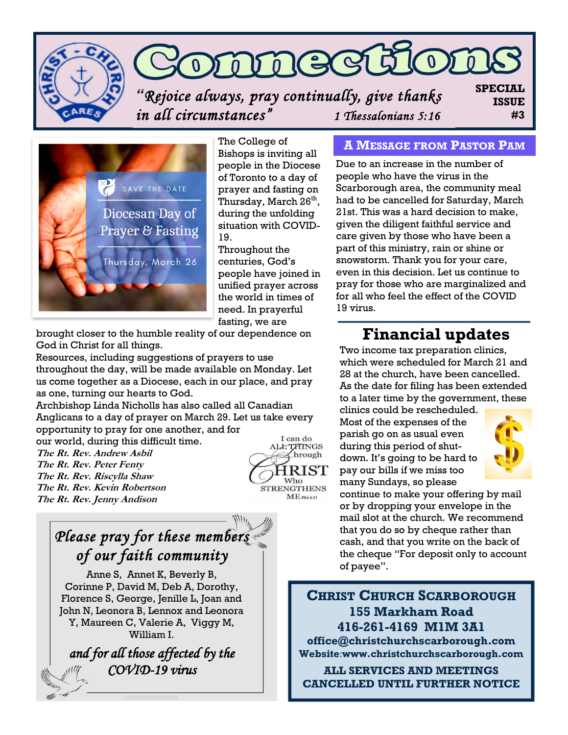

## DAMECI  $\Omega$

*"Rejoice always, pray continually, give thanks in all circumstances" 1 Thessalonians 5:16* 

**SPECIAL ISSUE #3**



The College of Bishops is inviting all people in the Diocese of Toronto to a day of prayer and fasting on Thursday, March 26<sup>th</sup>, during the unfolding situation with COVID-19.

Throughout the centuries, God's people have joined in unified prayer across the world in times of need. In prayerful fasting, we are

brought closer to the humble reality of our dependence on God in Christ for all things.

Resources, including suggestions of prayers to use throughout the day, will be made available on Monday. Let us come together as a Diocese, each in our place, and pray as one, turning our hearts to God.

Archbishop Linda Nicholls has also called all Canadian Anglicans to a day of prayer on March 29. Let us take every opportunity to pray for one another, and for I can do

our world, during this difficult time. **The Rt. Rev. Andrew Asbil The Rt. Rev. Peter Fenty The Rt. Rev. Riscylla Shaw The Rt. Rev. Kevin Robertson The Rt. Rev. Jenny Andison**



## **A MESSAGE FROM PASTOR PAM**

Due to an increase in the number of people who have the virus in the Scarborough area, the community meal had to be cancelled for Saturday, March 21st. This was a hard decision to make, given the diligent faithful service and care given by those who have been a part of this ministry, rain or shine or snowstorm. Thank you for your care, even in this decision. Let us continue to pray for those who are marginalized and for all who feel the effect of the COVID 19 virus.

## **Financial updates**

Two income tax preparation clinics, which were scheduled for March 21 and 28 at the church, have been cancelled. As the date for filing has been extended to a later time by the government, these clinics could be rescheduled.

Most of the expenses of the parish go on as usual even during this period of shutdown. It's going to be hard to pay our bills if we miss too many Sundays, so please



continue to make your offering by mail or by dropping your envelope in the mail slot at the church. We recommend that you do so by cheque rather than cash, and that you write on the back of the cheque "For deposit only to account of payee".

**CHRIST CHURCH SCARBOROUGH 155 Markham Road 416-261-4169 M1M 3A1 office@christchurchscarborough.com Website**:**www.christchurchscarborough.com**

**ALL SERVICES AND MEETINGS CANCELLED UNTIL FURTHER NOTICE**



*Please pray for these members of our faith community* 

Anne S, Annet K, Beverly B, Corinne P, David M, Deb A, Dorothy, Florence S, George, Jenille L, Joan and John N, Leonora B, Lennox and Leonora Y, Maureen C, Valerie A, Viggy M, William I.

*and for all those affected by the COVID-19 virus*